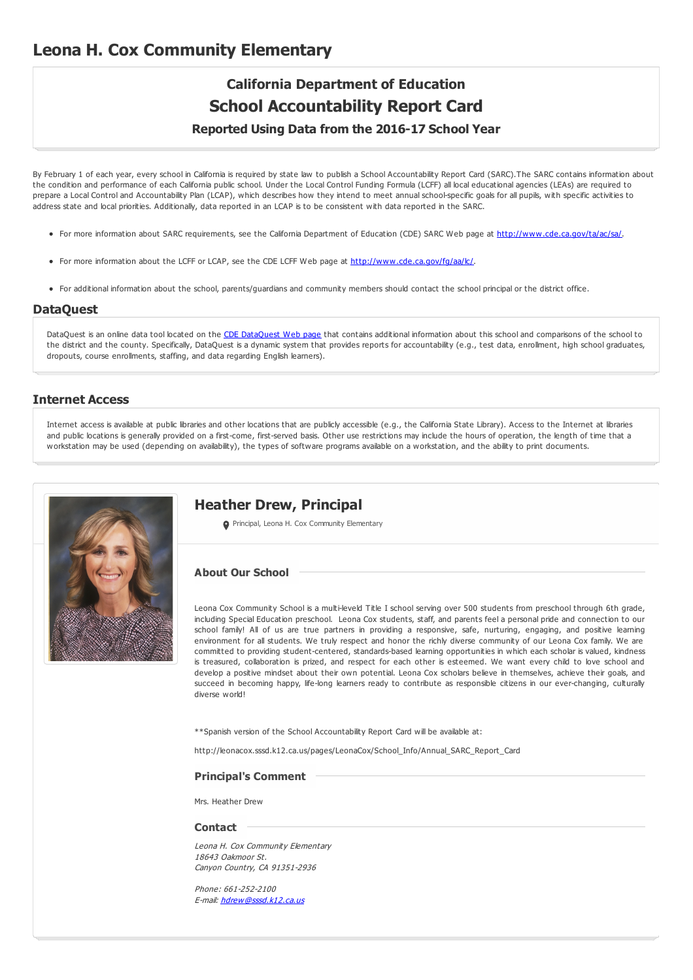# **California Department of Education School Accountability Report Card Reported Using Data from the 2016-17 School Year**

By February 1 of each year, every school in California is required by state law to publish a School Accountability Report Card (SARC).The SARC contains information about the condition and performance of each California public school. Under the Local Control Funding Formula (LCFF) all local educational agencies (LEAs) are required to prepare a Local Control and Accountability Plan (LCAP), which describes how they intend to meet annual school-specific goals for all pupils, with specific activities to address state and local priorities. Additionally, data reported in an LCAP is to be consistent with data reported in the SARC.

- For more information about SARC requirements, see the California Department of Education (CDE) SARC Web page at <http://www.cde.ca.gov/ta/ac/sa/>.
- For more information about the LCFF or LCAP, see the CDE LCFF Web page at <http://www.cde.ca.gov/fg/aa/lc/>.
- For additional information about the school, parents/guardians and community members should contact the school principal or the district office.

#### **DataQuest**

[DataQuest](http://dq.cde.ca.gov/dataquest/) is an online data tool located on the CDE DataQuest Web page that contains additional information about this school and comparisons of the school to the district and the county. Specifically, DataQuest is a dynamic system that provides reports for accountability (e.g., test data, enrollment, high school graduates, dropouts, course enrollments, staffing, and data regarding English learners).

#### **Internet Access**

Internet access is available at public libraries and other locations that are publicly accessible (e.g., the California State Library). Access to the Internet at libraries and public locations is generally provided on a first-come, first-served basis. Other use restrictions may include the hours of operation, the length of time that a workstation may be used (depending on availability), the types of software programs available on a workstation, and the ability to print documents.



## **Heather Drew, Principal**

**O** Principal, Leona H. Cox Community Elementary

#### **About Our School**

Leona Cox Community School is a multi-leveld Title I school serving over 500 students from preschool through 6th grade, including Special Education preschool. Leona Cox students, staff, and parents feel a personal pride and connection to our school family! All of us are true partners in providing a responsive, safe, nurturing, engaging, and positive learning environment for all students. We truly respect and honor the richly diverse community of our Leona Cox family. We are committed to providing student-centered, standards-based learning opportunities in which each scholar is valued, kindness is treasured, collaboration is prized, and respect for each other is esteemed. We want every child to love school and develop a positive mindset about their own potential. Leona Cox scholars believe in themselves, achieve their goals, and succeed in becoming happy, life-long learners ready to contribute as responsible citizens in our ever-changing, culturally diverse world!

\*\*Spanish version of the School Accountability Report Card will be available at:

http://leonacox.sssd.k12.ca.us/pages/LeonaCox/School\_Info/Annual\_SARC\_Report\_Card

#### **Principal's Comment**

Mrs. Heather Drew

#### **Contact**

Leona H. Cox Community Elementary 18643 Oakmoor St. Canyon Country, CA 91351-2936

Phone: 661-252-2100 E-mail: [hdrew@sssd.k12.ca.us](mailto:hdrew@sssd.k12.ca.us)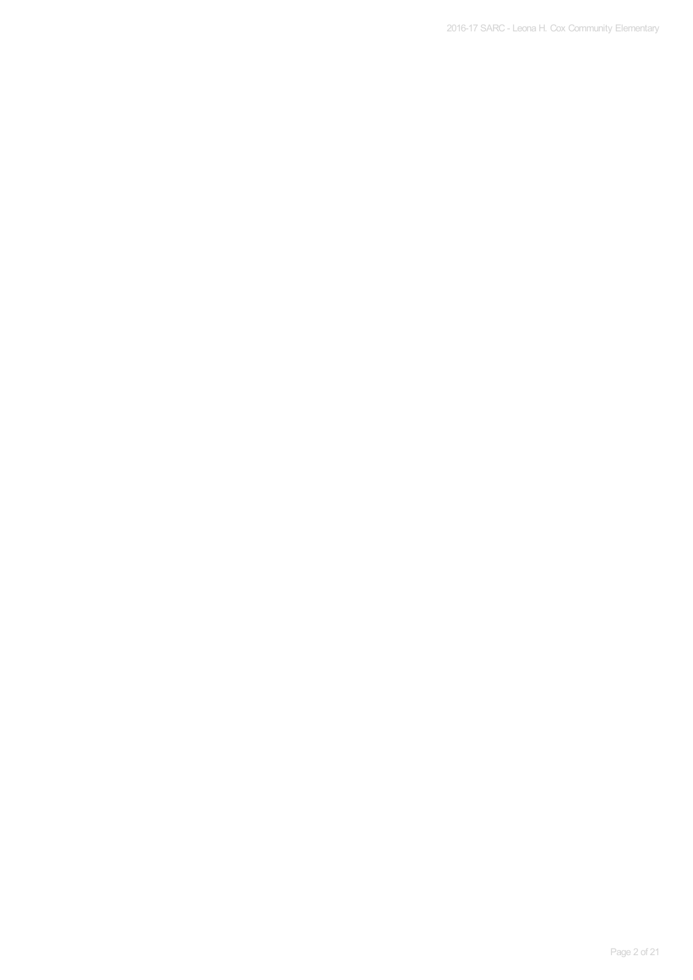2016-17 SARC - Leona H. Cox Community Elementary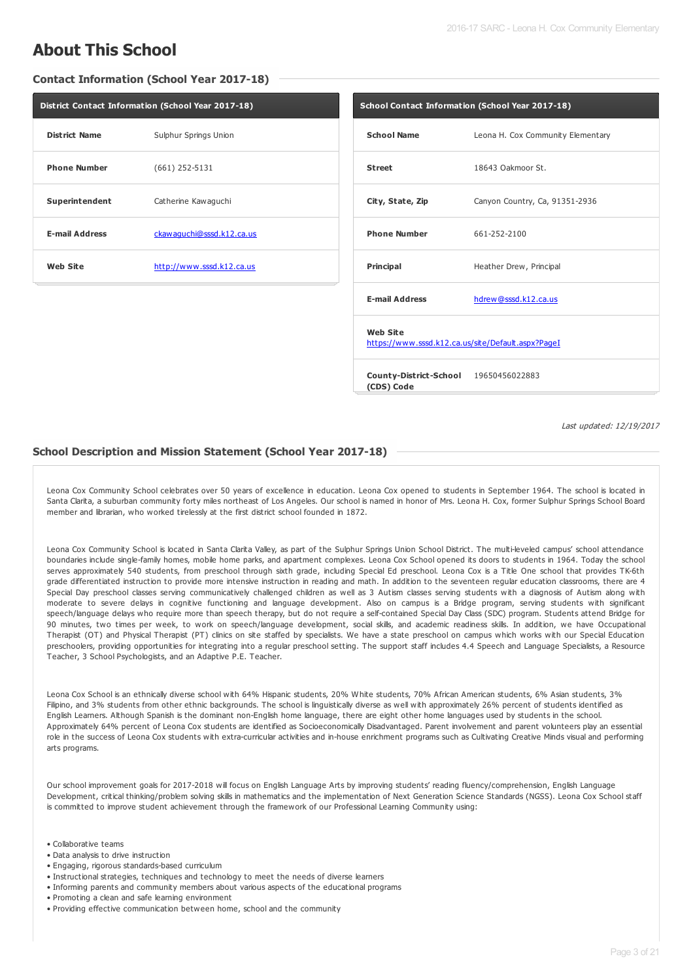# **About This School**

#### **Contact Information (School Year 2017-18)**

| District Contact Information (School Year 2017-18) |                           |  |  |
|----------------------------------------------------|---------------------------|--|--|
| <b>District Name</b>                               | Sulphur Springs Union     |  |  |
| <b>Phone Number</b>                                | $(661)$ 252-5131          |  |  |
| Superintendent                                     | Catherine Kawaquchi       |  |  |
| <b>E-mail Address</b>                              | ckawaguchi@sssd.k12.ca.us |  |  |
| <b>Web Site</b>                                    | http://www.sssd.k12.ca.us |  |  |

| <b>School Contact Information (School Year 2017-18)</b>               |                                   |  |  |  |
|-----------------------------------------------------------------------|-----------------------------------|--|--|--|
| <b>School Name</b>                                                    | Leona H. Cox Community Elementary |  |  |  |
| <b>Street</b>                                                         | 18643 Oakmoor St.                 |  |  |  |
| City, State, Zip                                                      | Canyon Country, Ca, 91351-2936    |  |  |  |
| <b>Phone Number</b>                                                   | 661-252-2100                      |  |  |  |
| Principal                                                             | Heather Drew, Principal           |  |  |  |
| <b>E-mail Address</b>                                                 | hdrew@sssd.k12.ca.us              |  |  |  |
| <b>Web Site</b><br>https://www.sssd.k12.ca.us/site/Default.aspx?PageI |                                   |  |  |  |
| County-District-School 19650456022883<br>(CDS) Code                   |                                   |  |  |  |

#### Last updated: 12/19/2017

#### **School Description and Mission Statement (School Year 2017-18)**

Leona Cox Community School celebrates over 50 years of excellence in education. Leona Cox opened to students in September 1964. The school is located in Santa Clarita, a suburban community forty miles northeast of Los Angeles. Our school is named in honor of Mrs. Leona H. Cox, former Sulphur Springs School Board member and librarian, who worked tirelessly at the first district school founded in 1872.

Leona Cox Community School is located in Santa Clarita Valley, as part of the Sulphur Springs Union School District. The multi-leveled campus' school attendance boundaries include single-family homes, mobile home parks, and apartment complexes. Leona Cox School opened its doors to students in 1964. Today the school serves approximately 540 students, from preschool through sixth grade, including Special Ed preschool. Leona Cox is a Title One school that provides TK-6th grade differentiated instruction to provide more intensive instruction in reading and math. In addition to the seventeen regular education classrooms, there are 4 Special Day preschool classes serving communicatively challenged children as well as 3 Autism classes serving students with a diagnosis of Autism along with moderate to severe delays in cognitive functioning and language development. Also on campus is a Bridge program, serving students with significant speech/language delays who require more than speech therapy, but do not require a self-contained Special Day Class (SDC) program. Students attend Bridge for 90 minutes, two times per week, to work on speech/language development, social skills, and academic readiness skills. In addition, we have Occupational Therapist (OT) and Physical Therapist (PT) clinics on site staffed by specialists. We have a state preschool on campus which works with our Special Education preschoolers, providing opportunities for integrating into a regular preschool setting. The support staff includes 4.4 Speech and Language Specialists, a Resource Teacher, 3 School Psychologists, and an Adaptive P.E. Teacher.

Leona Cox School is an ethnically diverse school with 64% Hispanic students, 20% White students, 70% African American students, 6% Asian students, 3% Filipino, and 3% students from other ethnic backgrounds. The school is linguistically diverse as well with approximately 26% percent of students identified as English Learners. Although Spanish is the dominant non-English home language, there are eight other home languages used by students in the school. Approximately 64% percent of Leona Cox students are identified as Socioeconomically Disadvantaged. Parent involvement and parent volunteers play an essential role in the success of Leona Cox students with extra-curricular activities and in-house enrichment programs such as Cultivating Creative Minds visual and performing arts programs.

Our school improvement goals for 2017-2018 will focus on English Language Arts by improving students' reading fluency/comprehension, English Language Development, critical thinking/problem solving skills in mathematics and the implementation of Next Generation Science Standards (NGSS). Leona Cox School staff is committed to improve student achievement through the framework of our Professional Learning Community using:

- Collaborative teams
- Data analysis to drive instruction
- Engaging, rigorous standards-based curriculum
- Instructional strategies, techniques and technology to meet the needs of diverse learners
- Informing parents and community members about various aspects of the educational programs
- Promoting a clean and safe learning environment
- Providing effective communication between home, school and the community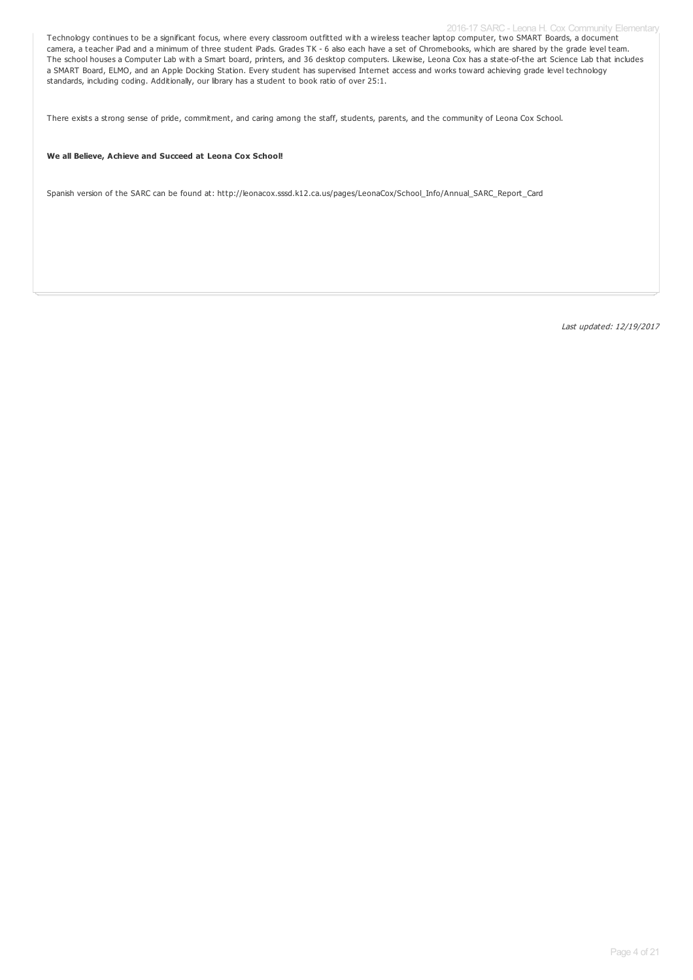Technology continues to be a significant focus, where every classroom outfitted with a wireless teacher laptop computer, two SMART Boards, a document camera, a teacher iPad and a minimum of three student iPads. Grades TK - 6 also each have a set of Chromebooks, which are shared by the grade level team. The school houses a Computer Lab with a Smart board, printers, and 36 desktop computers. Likewise, Leona Cox has a state-of-the art Science Lab that includes a SMART Board, ELMO, and an Apple Docking Station. Every student has supervised Internet access and works toward achieving grade level technology standards, including coding. Additionally, our library has a student to book ratio of over 25:1.

There exists a strong sense of pride, commitment, and caring among the staff, students, parents, and the community of Leona Cox School.

#### **We all Believe, Achieve and Succeed at Leona Cox School!**

Spanish version of the SARC can be found at: http://leonacox.sssd.k12.ca.us/pages/LeonaCox/School\_Info/Annual\_SARC\_Report\_Card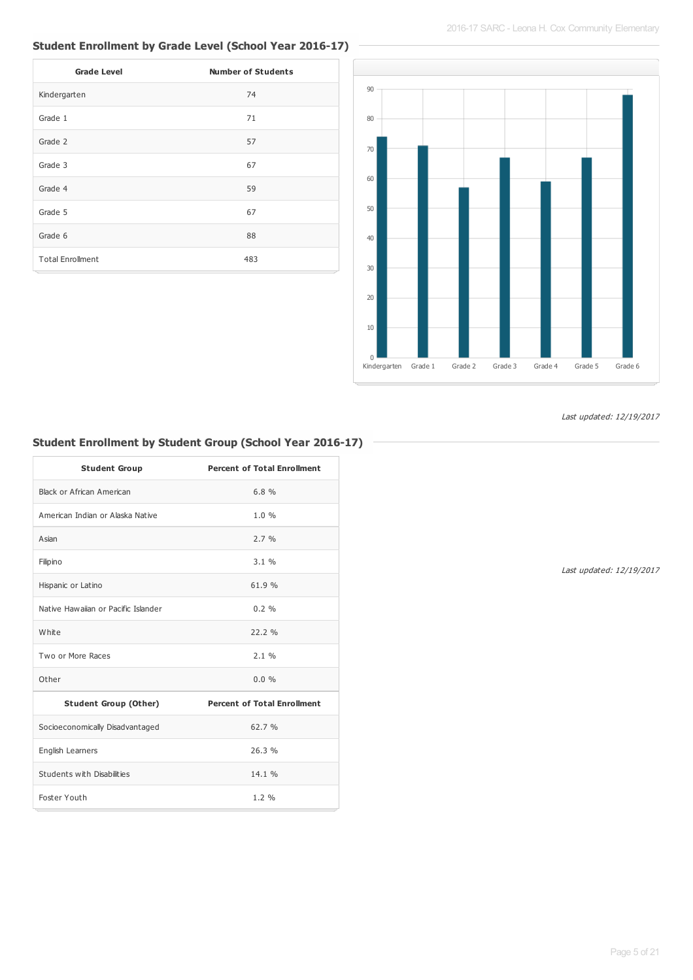## **Student Enrollment by Grade Level (School Year 2016-17)**

| <b>Grade Level</b>      | <b>Number of Students</b> |
|-------------------------|---------------------------|
| Kindergarten            | 74                        |
| Grade 1                 | 71                        |
| Grade 2                 | 57                        |
| Grade 3                 | 67                        |
| Grade 4                 | 59                        |
| Grade 5                 | 67                        |
| Grade 6                 | 88                        |
| <b>Total Enrollment</b> | 483                       |



Last updated: 12/19/2017

# **Student Enrollment by Student Group (School Year 2016-17)**

| <b>Student Group</b>                | <b>Percent of Total Enrollment</b> |
|-------------------------------------|------------------------------------|
| Black or African American           | 6.8%                               |
| American Indian or Alaska Native    | 1.0%                               |
| Asian                               | 2.7%                               |
| Filipino                            | $3.1 \%$                           |
| Hispanic or Latino                  | 61.9 %                             |
| Native Hawaiian or Pacific Islander | $0.2 \%$                           |
| White                               | 22.2%                              |
| Two or More Races                   | 2.1%                               |
| Other                               | $0.0\%$                            |
| <b>Student Group (Other)</b>        | <b>Percent of Total Enrollment</b> |
| Socioeconomically Disadvantaged     | 62.7 %                             |
| English Learners                    | 26.3%                              |
| Students with Disabilities          | 14.1 %                             |
| Foster Youth                        | 1.2%                               |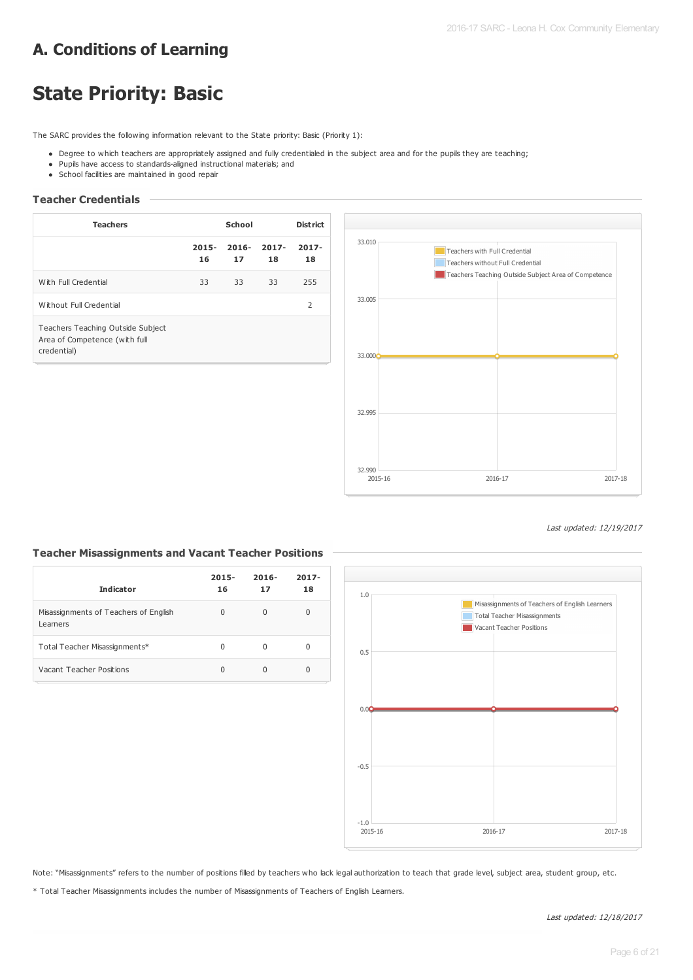# **A. Conditions of Learning**

# **State Priority: Basic**

The SARC provides the following information relevant to the State priority: Basic (Priority 1):

- . Degree to which teachers are appropriately assigned and fully credentialed in the subject area and for the pupils they are teaching;
- Pupils have access to standards-aligned instructional materials; and
- School facilities are maintained in good repair

### **Teacher Credentials**

| <b>Teachers</b>                                                                   |                | School         |                | <b>District</b> |
|-----------------------------------------------------------------------------------|----------------|----------------|----------------|-----------------|
|                                                                                   | $2015 -$<br>16 | $2016 -$<br>17 | $2017 -$<br>18 | $2017 -$<br>18  |
| With Full Credential                                                              | 33             | 33             | 33             | 255             |
| Without Full Credential                                                           |                |                |                | 2               |
| Teachers Teaching Outside Subject<br>Area of Competence (with full<br>credential) |                |                |                |                 |



#### Last updated: 12/19/2017

#### **Teacher Misassignments and Vacant Teacher Positions**

| <b>Indicator</b>                                  | $2015 -$<br>16 | $2016 -$<br>17 | $2017 -$<br>18 |
|---------------------------------------------------|----------------|----------------|----------------|
| Misassignments of Teachers of English<br>Learners | 0              | O              | 0              |
| Total Teacher Misassignments*                     | U              |                | 0              |
| Vacant Teacher Positions                          | U              |                | 0              |



Note: "Misassignments" refers to the number of positions filled by teachers who lack legal authorization to teach that grade level, subject area, student group, etc.

\* Total Teacher Misassignments includes the number of Misassignments of Teachers of English Learners.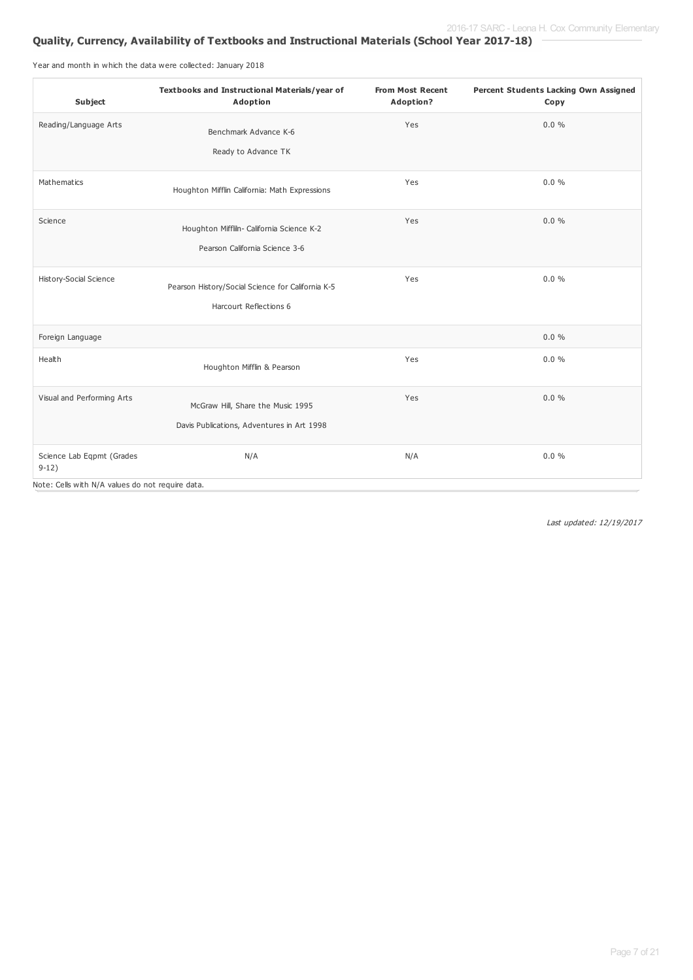## **Quality, Currency, Availability of Textbooks and Instructional Materials (School Year 2017-18)**

Year and month in which the data were collected: January 2018

| Subject                                          | Textbooks and Instructional Materials/year of<br>Adoption | <b>From Most Recent</b><br>Adoption? | Percent Students Lacking Own Assigned<br>Copy |
|--------------------------------------------------|-----------------------------------------------------------|--------------------------------------|-----------------------------------------------|
| Reading/Language Arts                            | Benchmark Advance K-6                                     | Yes                                  | $0.0 \%$                                      |
|                                                  | Ready to Advance TK                                       |                                      |                                               |
| Mathematics                                      | Houghton Mifflin California: Math Expressions             | Yes                                  | $0.0 \%$                                      |
| Science                                          | Houghton Miffliln- California Science K-2                 | Yes                                  | $0.0 \%$                                      |
|                                                  | Pearson California Science 3-6                            |                                      |                                               |
| History-Social Science                           | Pearson History/Social Science for California K-5         | Yes                                  | $0.0 \%$                                      |
|                                                  | Harcourt Reflections 6                                    |                                      |                                               |
| Foreign Language                                 |                                                           |                                      | $0.0 \%$                                      |
| Health                                           | Houghton Mifflin & Pearson                                | Yes                                  | 0.0%                                          |
| Visual and Performing Arts                       | McGraw Hill, Share the Music 1995                         | Yes                                  | $0.0 \%$                                      |
|                                                  | Davis Publications, Adventures in Art 1998                |                                      |                                               |
| Science Lab Eqpmt (Grades<br>$9-12)$             | N/A                                                       | N/A                                  | $0.0 \%$                                      |
| Note: Cells with N/A values do not require data. |                                                           |                                      |                                               |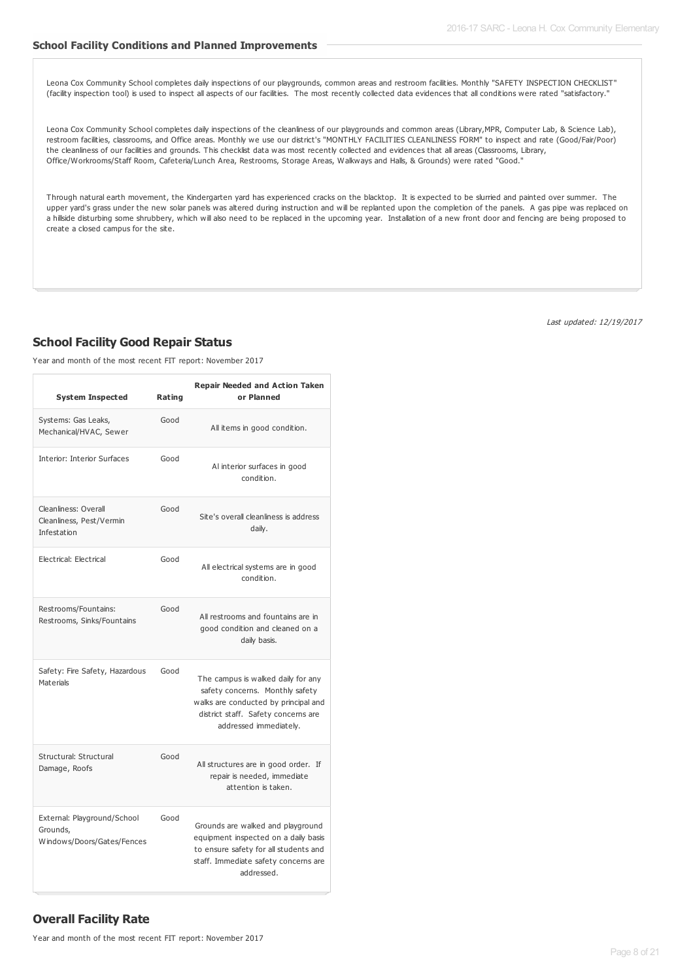#### **School Facility Conditions and Planned Improvements**

Leona Cox Community School completes daily inspections of our playgrounds, common areas and restroom facilities. Monthly "SAFETY INSPECTION CHECKLIST" (facility inspection tool) is used to inspect all aspects of our facilities. The most recently collected data evidences that all conditions were rated "satisfactory."

Leona Cox Community School completes daily inspections of the cleanliness of our playgrounds and common areas (Library,MPR, Computer Lab, & Science Lab), restroom facilities, classrooms, and Office areas. Monthly we use our district's "MONTHLY FACILITIES CLEANLINESS FORM" to inspect and rate (Good/Fair/Poor) the cleanliness of our facilities and grounds. This checklist data was most recently collected and evidences that all areas (Classrooms, Library, Office/Workrooms/Staff Room, Cafeteria/Lunch Area, Restrooms, Storage Areas, Walkways and Halls, & Grounds) were rated "Good."

Through natural earth movement, the Kindergarten yard has experienced cracks on the blacktop. It is expected to be slurried and painted over summer. The upper yard's grass under the new solar panels was altered during instruction and will be replanted upon the completion of the panels. A gas pipe was replaced on a hillside disturbing some shrubbery, which will also need to be replaced in the upcoming year. Installation of a new front door and fencing are being proposed to create a closed campus for the site.

Last updated: 12/19/2017

## **School Facility Good Repair Status**

Year and month of the most recent FIT report: November 2017

| <b>System Inspected</b>                                               | Rating | <b>Repair Needed and Action Taken</b><br>or Planned                                                                                                                            |
|-----------------------------------------------------------------------|--------|--------------------------------------------------------------------------------------------------------------------------------------------------------------------------------|
| Systems: Gas Leaks,<br>Mechanical/HVAC, Sewer                         | Good   | All items in good condition.                                                                                                                                                   |
| Interior: Interior Surfaces                                           | Good   | Al interior surfaces in good<br>condition.                                                                                                                                     |
| Cleanliness: Overall<br>Cleanliness, Pest/Vermin<br>Infestation       | Good   | Site's overall cleanliness is address<br>daily.                                                                                                                                |
| Electrical: Electrical                                                | Good   | All electrical systems are in good<br>condition.                                                                                                                               |
| Restrooms/Fountains:<br>Restrooms, Sinks/Fountains                    | Good   | All restrooms and fountains are in<br>good condition and cleaned on a<br>daily basis.                                                                                          |
| Safety: Fire Safety, Hazardous<br><b>Materials</b>                    | Good   | The campus is walked daily for any<br>safety concerns. Monthly safety<br>walks are conducted by principal and<br>district staff. Safety concerns are<br>addressed immediately. |
| Structural: Structural<br>Damage, Roofs                               | Good   | All structures are in good order. If<br>repair is needed, immediate<br>attention is taken.                                                                                     |
| External: Playground/School<br>Grounds,<br>Windows/Doors/Gates/Fences | Good   | Grounds are walked and playground<br>equipment inspected on a daily basis<br>to ensure safety for all students and<br>staff. Immediate safety concerns are<br>addressed.       |

# **Overall Facility Rate**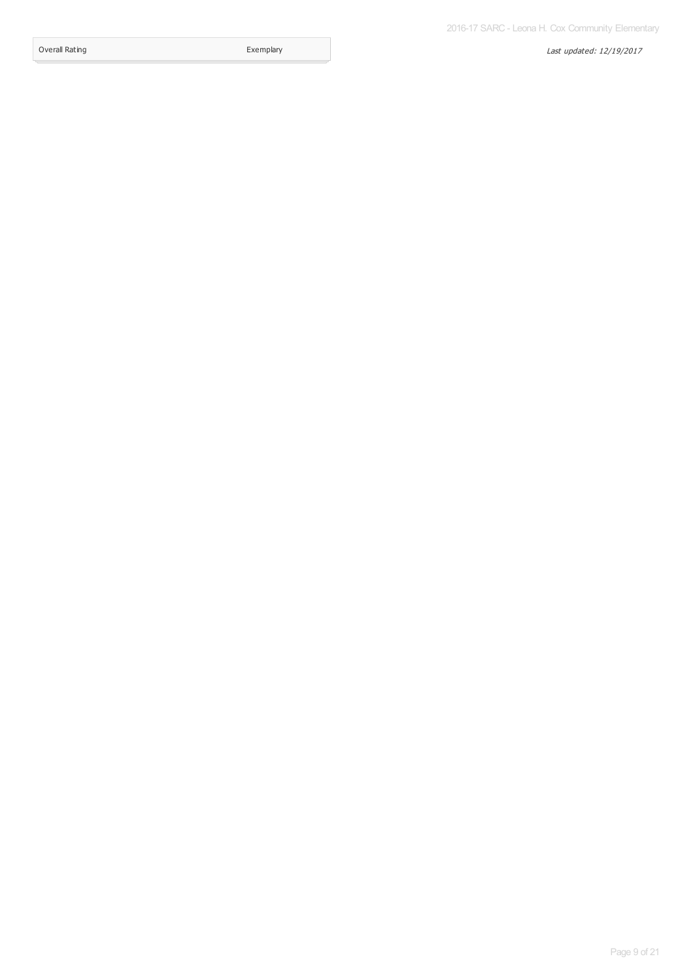Exemplary Last updated: 12/19/2017

| Overall Rating |  |
|----------------|--|
|                |  |

r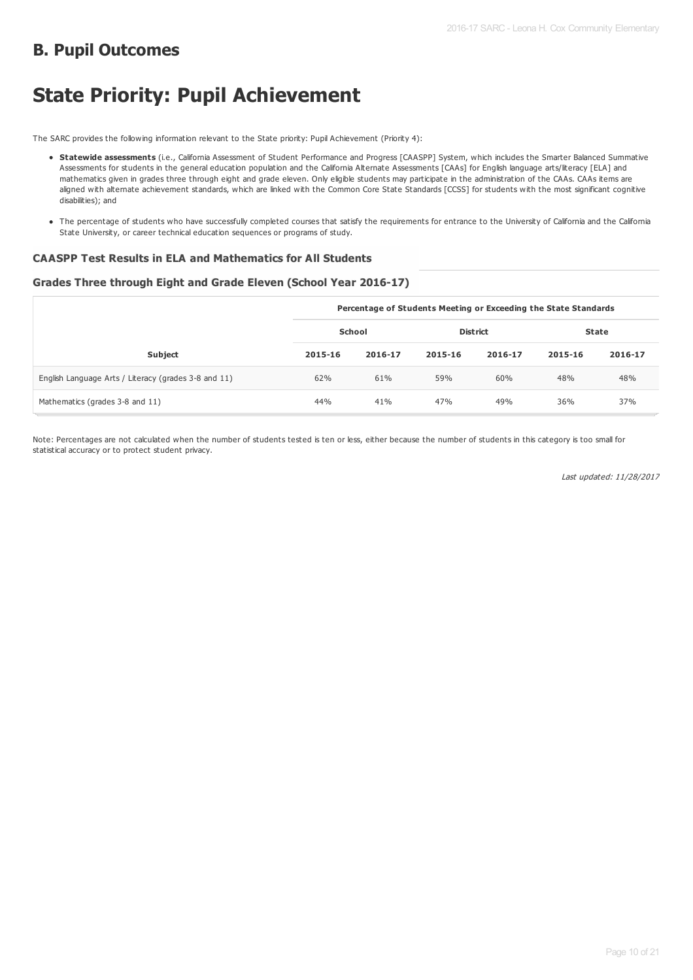# **B. Pupil Outcomes**

# **State Priority: Pupil Achievement**

The SARC provides the following information relevant to the State priority: Pupil Achievement (Priority 4):

- **Statewide assessments** (i.e., California Assessment of Student Performance and Progress [CAASPP] System, which includes the Smarter Balanced Summative Assessments for students in the general education population and the California Alternate Assessments [CAAs] for English language arts/literacy [ELA] and mathematics given in grades three through eight and grade eleven. Only eligible students may participate in the administration of the CAAs. CAAs items are aligned with alternate achievement standards, which are linked with the Common Core State Standards [CCSS] for students with the most significant cognitive disabilities); and
- The percentage of students who have successfully completed courses that satisfy the requirements for entrance to the University of California and the California State University, or career technical education sequences or programs of study.

#### **CAASPP Test Results in ELA and Mathematics for All Students**

#### **Grades Three through Eight and Grade Eleven (School Year 2016-17)**

|                                                      | Percentage of Students Meeting or Exceeding the State Standards |         |         |                 |         |              |
|------------------------------------------------------|-----------------------------------------------------------------|---------|---------|-----------------|---------|--------------|
|                                                      |                                                                 | School  |         | <b>District</b> |         | <b>State</b> |
| <b>Subject</b>                                       | 2015-16                                                         | 2016-17 | 2015-16 | 2016-17         | 2015-16 | 2016-17      |
| English Language Arts / Literacy (grades 3-8 and 11) | 62%                                                             | 61%     | 59%     | 60%             | 48%     | 48%          |
| Mathematics (grades 3-8 and 11)                      | 44%                                                             | 41%     | 47%     | 49%             | 36%     | 37%          |

Note: Percentages are not calculated when the number of students tested is ten or less, either because the number of students in this category is too small for statistical accuracy or to protect student privacy.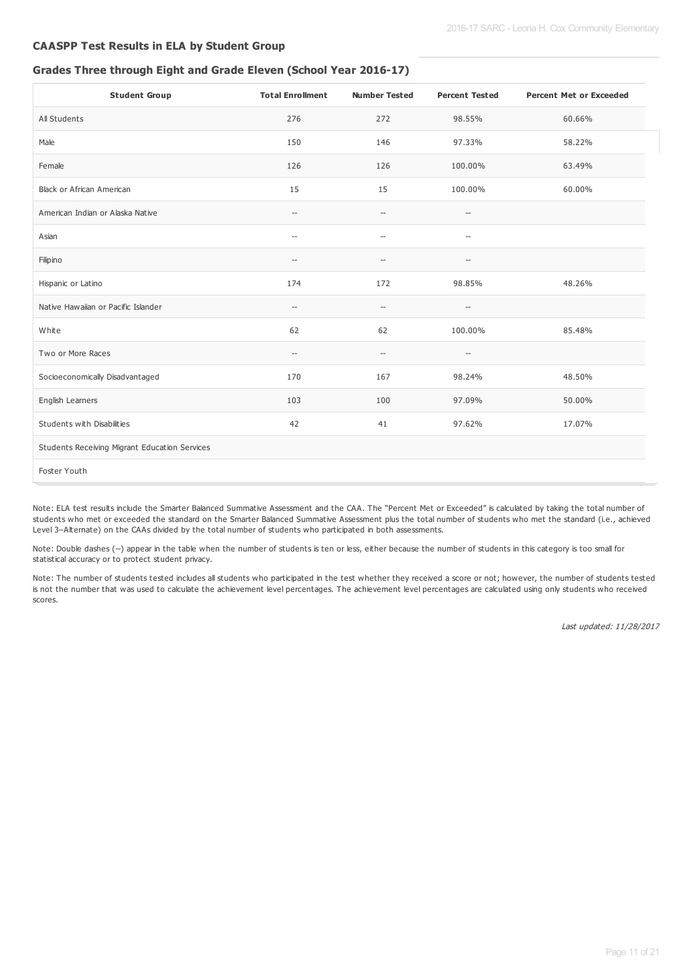## **CAASPP Test Results in ELA by Student Group**

#### **Grades Three through Eight and Grade Eleven (School Year 2016-17)**

| <b>Student Group</b>                          | <b>Total Enrollment</b>                             | <b>Number Tested</b>                                | <b>Percent Tested</b>                               | <b>Percent Met or Exceeded</b> |
|-----------------------------------------------|-----------------------------------------------------|-----------------------------------------------------|-----------------------------------------------------|--------------------------------|
| All Students                                  | 276                                                 | 272                                                 | 98.55%                                              | 60.66%                         |
| Male                                          | 150                                                 | 146                                                 | 97.33%                                              | 58.22%                         |
| Female                                        | 126                                                 | 126                                                 | 100.00%                                             | 63.49%                         |
| Black or African American                     | 15                                                  | 15                                                  | 100.00%                                             | 60.00%                         |
| American Indian or Alaska Native              | $\overline{\phantom{a}}$                            | $\hspace{0.05cm} -\hspace{0.05cm} -\hspace{0.05cm}$ | $\overline{\phantom{a}}$                            |                                |
| Asian                                         | $\hspace{0.05cm} -\hspace{0.05cm}$                  | $\hspace{0.05cm} -$                                 | $\hspace{0.05cm} -\hspace{0.05cm} -\hspace{0.05cm}$ |                                |
| Filipino                                      | --                                                  | $\hspace{0.05cm} -\hspace{0.05cm} -\hspace{0.05cm}$ | $\hspace{0.05cm} -\hspace{0.05cm} -\hspace{0.05cm}$ |                                |
| Hispanic or Latino                            | 174                                                 | 172                                                 | 98.85%                                              | 48.26%                         |
| Native Hawaiian or Pacific Islander           | $\hspace{0.05cm} \dashv$                            | $\hspace{0.05cm} -\hspace{0.05cm} -\hspace{0.05cm}$ | $\hspace{0.05cm} -\hspace{0.05cm} -\hspace{0.05cm}$ |                                |
| White                                         | 62                                                  | 62                                                  | 100.00%                                             | 85.48%                         |
| Two or More Races                             | $\hspace{0.05cm} -\hspace{0.05cm} -\hspace{0.05cm}$ | $\hspace{0.05cm} -\hspace{0.05cm} -\hspace{0.05cm}$ | $-\!$                                               |                                |
| Socioeconomically Disadvantaged               | 170                                                 | 167                                                 | 98.24%                                              | 48.50%                         |
| English Learners                              | 103                                                 | 100                                                 | 97.09%                                              | 50.00%                         |
| Students with Disabilities                    | 42                                                  | 41                                                  | 97.62%                                              | 17.07%                         |
| Students Receiving Migrant Education Services |                                                     |                                                     |                                                     |                                |
| Foster Youth                                  |                                                     |                                                     |                                                     |                                |

Note: ELA test results include the Smarter Balanced Summative Assessment and the CAA. The "Percent Met or Exceeded" is calculated by taking the total number of students who met or exceeded the standard on the Smarter Balanced Summative Assessment plus the total number of students who met the standard (i.e., achieved Level 3–Alternate) on the CAAs divided by the total number of students who participated in both assessments.

Note: Double dashes (--) appear in the table when the number of students is ten or less, either because the number of students in this category is too small for statistical accuracy or to protect student privacy.

Note: The number of students tested includes all students who participated in the test whether they received a score or not; however, the number of students tested is not the number that was used to calculate the achievement level percentages. The achievement level percentages are calculated using only students who received scores.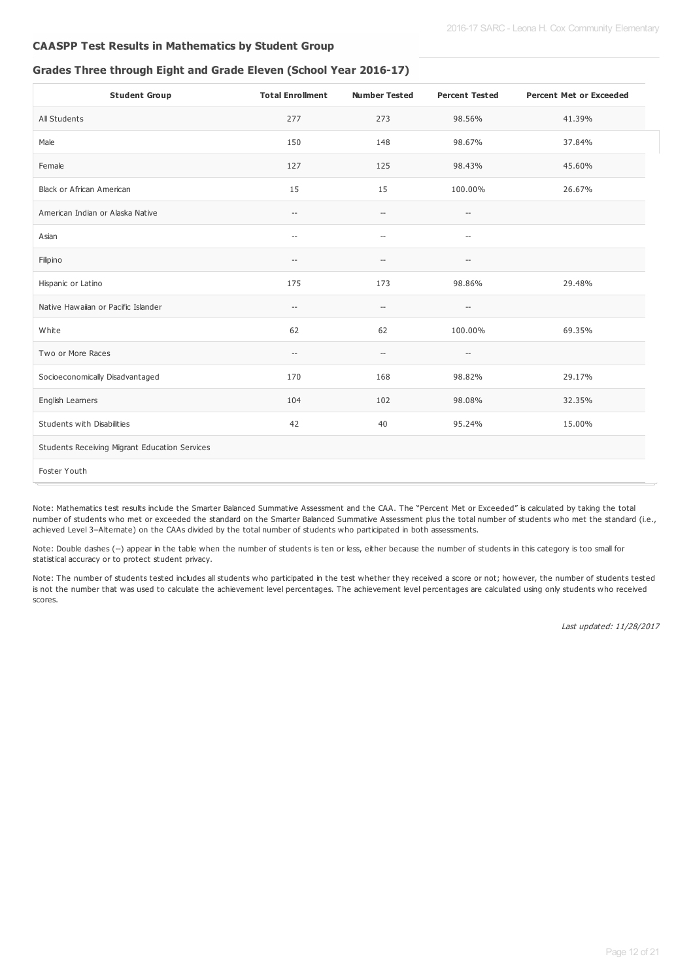### **CAASPP Test Results in Mathematics by Student Group**

### **Grades Three through Eight and Grade Eleven (School Year 2016-17)**

| <b>Student Group</b>                          | <b>Total Enrollment</b>            | <b>Number Tested</b> | <b>Percent Tested</b>                               | <b>Percent Met or Exceeded</b> |
|-----------------------------------------------|------------------------------------|----------------------|-----------------------------------------------------|--------------------------------|
| All Students                                  | 277                                | 273                  | 98.56%                                              | 41.39%                         |
| Male                                          | 150                                | 148                  | 98.67%                                              | 37.84%                         |
| Female                                        | 127                                | 125                  | 98.43%                                              | 45.60%                         |
| Black or African American                     | 15                                 | 15                   | 100.00%                                             | 26.67%                         |
| American Indian or Alaska Native              | $\hspace{0.05cm} -\hspace{0.05cm}$ | $\hspace{0.05cm} -$  | $-\!$                                               |                                |
| Asian                                         | $\overline{\phantom{a}}$           | $-\!$                | $\hspace{0.05cm} -\hspace{0.05cm} -\hspace{0.05cm}$ |                                |
| Filipino                                      | $\overline{\phantom{a}}$           | $\hspace{0.05cm} -$  | $\hspace{0.05cm} -\hspace{0.05cm} -\hspace{0.05cm}$ |                                |
| Hispanic or Latino                            | 175                                | 173                  | 98.86%                                              | 29.48%                         |
| Native Hawaiian or Pacific Islander           | --                                 | $\hspace{0.05cm} -$  | $-\hbox{--}$                                        |                                |
| White                                         | 62                                 | 62                   | 100.00%                                             | 69.35%                         |
| Two or More Races                             | $\hspace{0.05cm} -$                | $-\!$                | $\hspace{0.05cm} -\hspace{0.05cm} -\hspace{0.05cm}$ |                                |
| Socioeconomically Disadvantaged               | 170                                | 168                  | 98.82%                                              | 29.17%                         |
| English Learners                              | 104                                | 102                  | 98.08%                                              | 32.35%                         |
| Students with Disabilities                    | 42                                 | 40                   | 95.24%                                              | 15.00%                         |
| Students Receiving Migrant Education Services |                                    |                      |                                                     |                                |
| Foster Youth                                  |                                    |                      |                                                     |                                |

Note: Mathematics test results include the Smarter Balanced Summative Assessment and the CAA. The "Percent Met or Exceeded" is calculated by taking the total number of students who met or exceeded the standard on the Smarter Balanced Summative Assessment plus the total number of students who met the standard (i.e., achieved Level 3–Alternate) on the CAAs divided by the total number of students who participated in both assessments.

Note: Double dashes (--) appear in the table when the number of students is ten or less, either because the number of students in this category is too small for statistical accuracy or to protect student privacy.

Note: The number of students tested includes all students who participated in the test whether they received a score or not; however, the number of students tested is not the number that was used to calculate the achievement level percentages. The achievement level percentages are calculated using only students who received scores.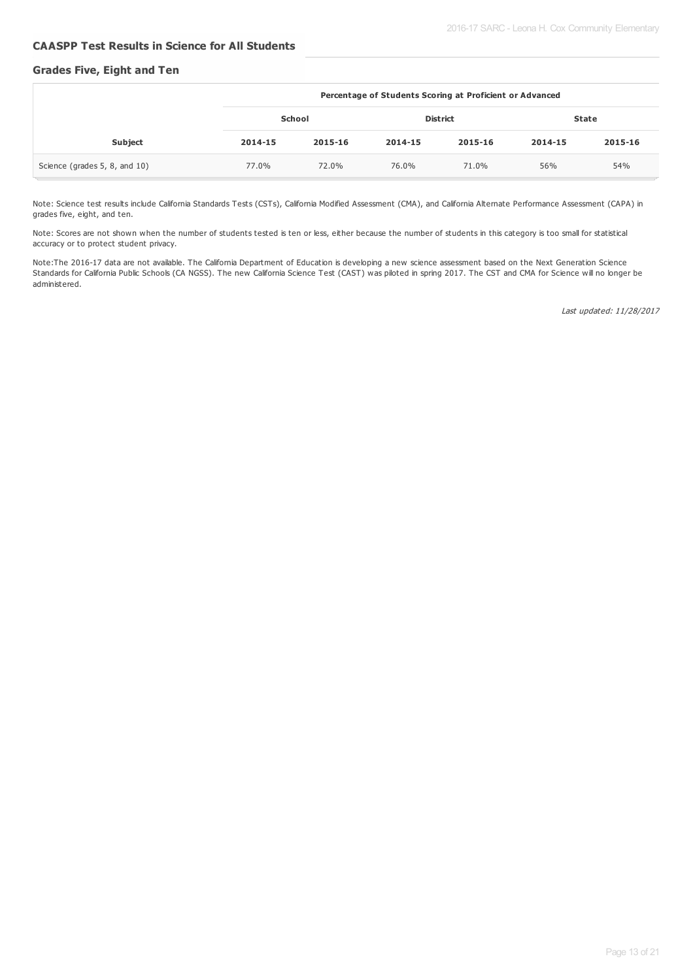#### **CAASPP Test Results in Science for All Students**

### **Grades Five, Eight and Ten**

|                               | Percentage of Students Scoring at Proficient or Advanced |         |         |                 |         |         |  |  |  |
|-------------------------------|----------------------------------------------------------|---------|---------|-----------------|---------|---------|--|--|--|
|                               |                                                          | School  |         | <b>District</b> | State   |         |  |  |  |
| <b>Subject</b>                | 2014-15                                                  | 2015-16 | 2014-15 | 2015-16         | 2014-15 | 2015-16 |  |  |  |
| Science (grades 5, 8, and 10) | 77.0%                                                    | 72.0%   | 76.0%   | 71.0%           | 56%     | 54%     |  |  |  |

Note: Science test results include California Standards Tests (CSTs), California Modified Assessment (CMA), and California Alternate Performance Assessment (CAPA) in grades five, eight, and ten.

Note: Scores are not shown when the number of students tested is ten or less, either because the number of students in this category is too small for statistical accuracy or to protect student privacy.

Note:The 2016-17 data are not available. The California Department of Education is developing a new science assessment based on the Next Generation Science Standards for California Public Schools (CA NGSS). The new California Science Test (CAST) was piloted in spring 2017. The CST and CMA for Science will no longer be administered.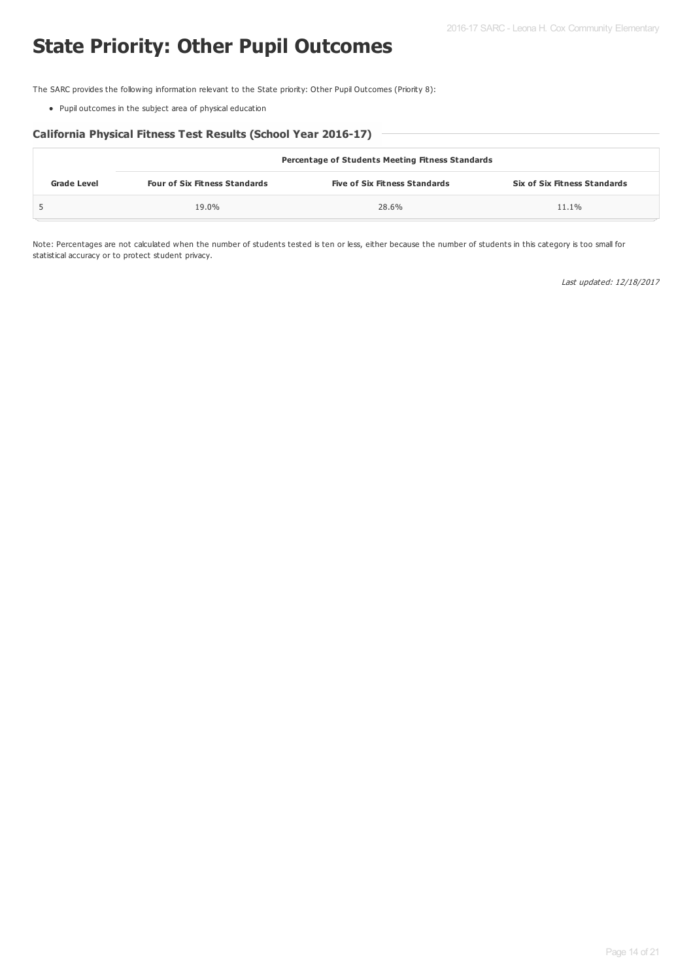# **State Priority: Other Pupil Outcomes**

The SARC provides the following information relevant to the State priority: Other Pupil Outcomes (Priority 8):

Pupil outcomes in the subject area of physical education

#### **California Physical Fitness Test Results (School Year 2016-17)**

|                    | <b>Percentage of Students Meeting Fitness Standards</b> |                                      |                                     |  |  |  |  |
|--------------------|---------------------------------------------------------|--------------------------------------|-------------------------------------|--|--|--|--|
| <b>Grade Level</b> | <b>Four of Six Fitness Standards</b>                    | <b>Five of Six Fitness Standards</b> | <b>Six of Six Fitness Standards</b> |  |  |  |  |
|                    | 19.0%                                                   | 28.6%                                | 11.1%                               |  |  |  |  |

Note: Percentages are not calculated when the number of students tested is ten or less, either because the number of students in this category is too small for statistical accuracy or to protect student privacy.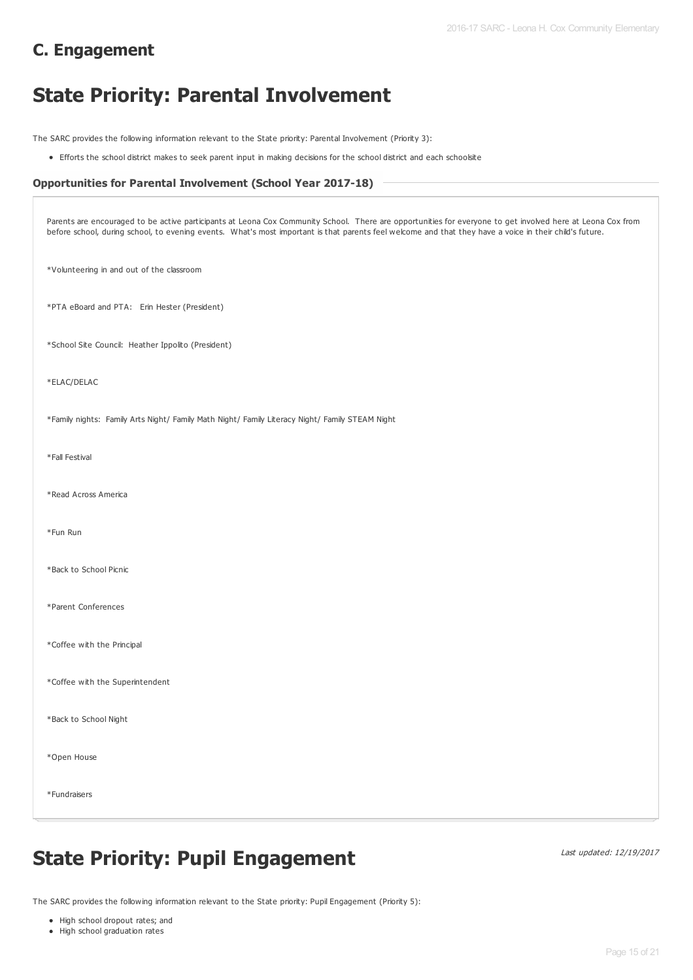# **C. Engagement**

# **State Priority: Parental Involvement**

The SARC provides the following information relevant to the State priority: Parental Involvement (Priority 3):

Efforts the school district makes to seek parent input in making decisions for the school district and each schoolsite

#### **Opportunities for Parental Involvement (School Year 2017-18)**

| Parents are encouraged to be active participants at Leona Cox Community School. There are opportunities for everyone to get involved here at Leona Cox from<br>before school, during school, to evening events. What's most important is that parents feel welcome and that they have a voice in their child's future. |
|------------------------------------------------------------------------------------------------------------------------------------------------------------------------------------------------------------------------------------------------------------------------------------------------------------------------|
| *Volunteering in and out of the classroom                                                                                                                                                                                                                                                                              |
| *PTA eBoard and PTA: Erin Hester (President)                                                                                                                                                                                                                                                                           |
| *School Site Council: Heather Ippolito (President)                                                                                                                                                                                                                                                                     |
| *ELAC/DELAC                                                                                                                                                                                                                                                                                                            |
| *Family nights: Family Arts Night/ Family Math Night/ Family Literacy Night/ Family STEAM Night                                                                                                                                                                                                                        |
| *Fall Festival                                                                                                                                                                                                                                                                                                         |
| *Read Across America                                                                                                                                                                                                                                                                                                   |
| *Fun Run                                                                                                                                                                                                                                                                                                               |
| *Back to School Picnic                                                                                                                                                                                                                                                                                                 |
| *Parent Conferences                                                                                                                                                                                                                                                                                                    |
| *Coffee with the Principal                                                                                                                                                                                                                                                                                             |
| *Coffee with the Superintendent                                                                                                                                                                                                                                                                                        |
| *Back to School Night                                                                                                                                                                                                                                                                                                  |
| *Open House                                                                                                                                                                                                                                                                                                            |
| *Fundraisers                                                                                                                                                                                                                                                                                                           |

# **State Priority: Pupil Engagement**

Last updated: 12/19/2017

The SARC provides the following information relevant to the State priority: Pupil Engagement (Priority 5):

- High school dropout rates; and
- High school graduation rates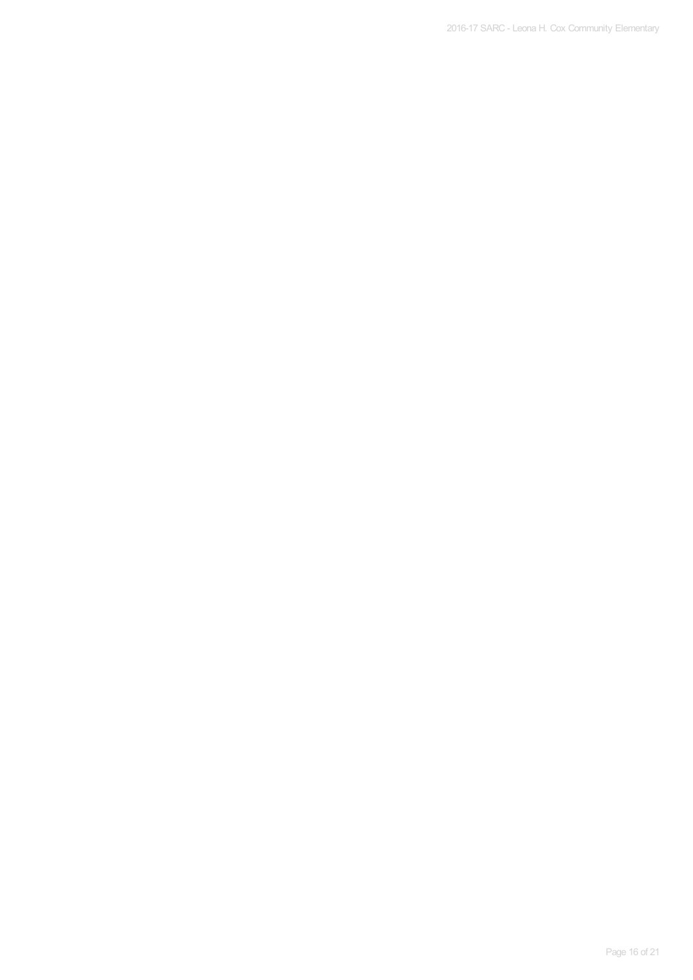2016-17 SARC - Leona H. Cox Community Elementary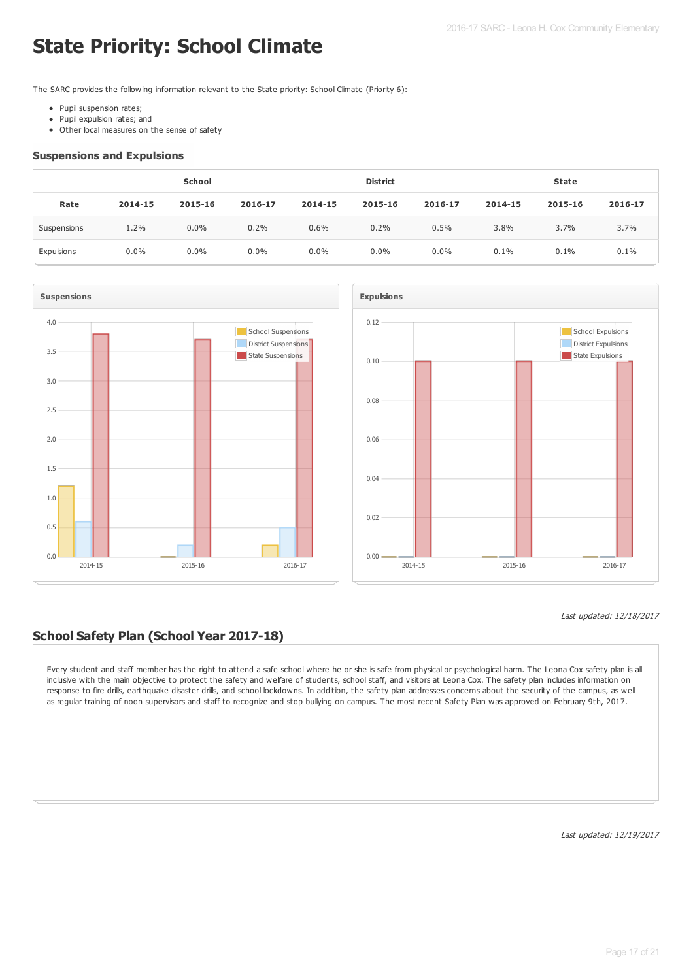# **State Priority: School Climate**

The SARC provides the following information relevant to the State priority: School Climate (Priority 6):

- Pupil suspension rates;
- Pupil expulsion rates; and  $\bullet$
- Other local measures on the sense of safety

#### **Suspensions and Expulsions**

|             | School  |         |         |         | <b>District</b> |         |         | <b>State</b> |         |  |
|-------------|---------|---------|---------|---------|-----------------|---------|---------|--------------|---------|--|
| Rate        | 2014-15 | 2015-16 | 2016-17 | 2014-15 | 2015-16         | 2016-17 | 2014-15 | 2015-16      | 2016-17 |  |
| Suspensions | 1.2%    | $0.0\%$ | 0.2%    | 0.6%    | 0.2%            | 0.5%    | 3.8%    | 3.7%         | $3.7\%$ |  |
| Expulsions  | $0.0\%$ | $0.0\%$ | $0.0\%$ | $0.0\%$ | $0.0\%$         | 0.0%    | 0.1%    | 0.1%         | 0.1%    |  |





### Last updated: 12/18/2017

# **School Safety Plan (School Year 2017-18)**

Every student and staff member has the right to attend a safe school where he or she is safe from physical or psychological harm. The Leona Cox safety plan is all inclusive with the main objective to protect the safety and welfare of students, school staff, and visitors at Leona Cox. The safety plan includes information on response to fire drills, earthquake disaster drills, and school lockdowns. In addition, the safety plan addresses concerns about the security of the campus, as well as regular training of noon supervisors and staff to recognize and stop bullying on campus. The most recent Safety Plan was approved on February 9th, 2017.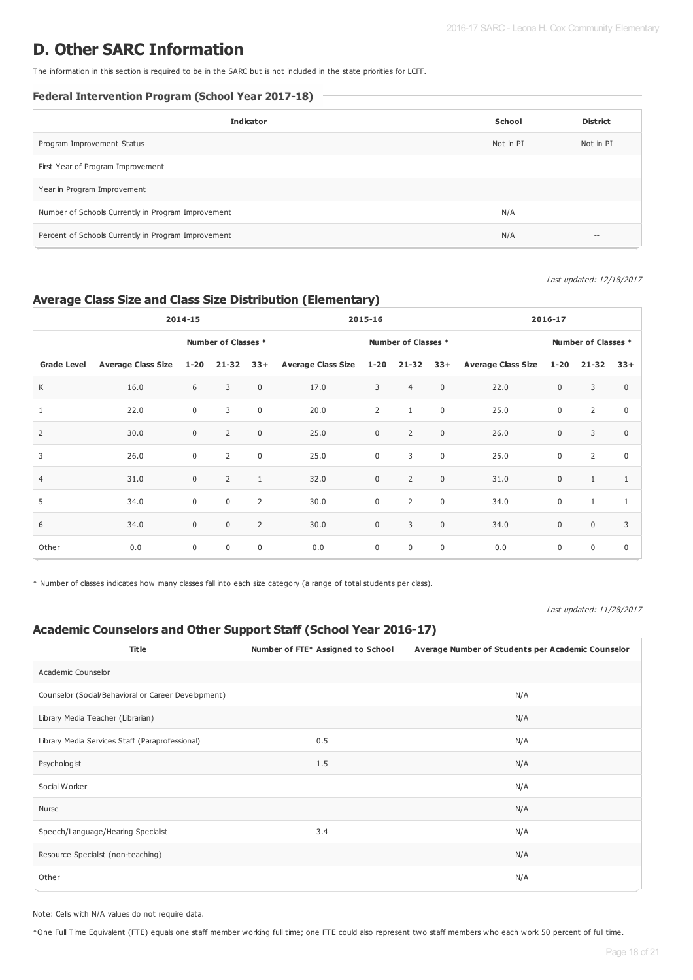# **D. Other SARC Information**

The information in this section is required to be in the SARC but is not included in the state priorities for LCFF.

#### **Federal Intervention Program (School Year 2017-18)**

| <b>Indicator</b>                                    | School    | <b>District</b>                                |
|-----------------------------------------------------|-----------|------------------------------------------------|
| Program Improvement Status                          | Not in PI | Not in PI                                      |
| First Year of Program Improvement                   |           |                                                |
| Year in Program Improvement                         |           |                                                |
| Number of Schools Currently in Program Improvement  | N/A       |                                                |
| Percent of Schools Currently in Program Improvement | N/A       | $\hspace{0.1mm}-\hspace{0.1mm}-\hspace{0.1mm}$ |

#### Last updated: 12/18/2017

## **Average Class Size and Class Size Distribution (Elementary)**

| 2014-15            |                           |             |                     | 2015-16        |                               |                     | 2016-17        |             |                        |                     |                |              |
|--------------------|---------------------------|-------------|---------------------|----------------|-------------------------------|---------------------|----------------|-------------|------------------------|---------------------|----------------|--------------|
|                    |                           |             | Number of Classes * |                |                               | Number of Classes * |                |             |                        | Number of Classes * |                |              |
| <b>Grade Level</b> | <b>Average Class Size</b> | $1 - 20$    | $21 - 32$           | $33+$          | Average Class Size 1-20 21-32 |                     |                |             | 33+ Average Class Size | $1 - 20$            | $21 - 32$      | $33+$        |
| K                  | 16.0                      | 6           | 3                   | $\mathbf 0$    | 17.0                          | 3                   | $\overline{4}$ | $\mathbf 0$ | 22.0                   | $\mathbf 0$         | 3              | $\mathbf{0}$ |
| 1                  | 22.0                      | $\mathbf 0$ | 3                   | $\mathbf 0$    | 20.0                          | $\overline{2}$      | $\mathbf{1}$   | $\mathbf 0$ | 25.0                   | $\mathbf 0$         | $\overline{2}$ | $\mathbf 0$  |
| 2                  | 30.0                      | $\mathbf 0$ | $\overline{2}$      | $\mathbf 0$    | 25.0                          | $\mathbf 0$         | $\overline{2}$ | $\mathbf 0$ | 26.0                   | $\mathbf 0$         | 3              | $\mathbf{0}$ |
| 3                  | 26.0                      | $\mathbf 0$ | $\overline{2}$      | $\overline{0}$ | 25.0                          | $\mathbf 0$         | 3              | $\mathbf 0$ | 25.0                   | $\mathbf 0$         | $\overline{2}$ | $\mathbf 0$  |
| $\overline{4}$     | 31.0                      | $\mathsf 0$ | $\overline{2}$      | $\mathbf{1}$   | 32.0                          | 0                   | $\overline{2}$ | $\mathbf 0$ | 31.0                   | $\mathbf 0$         | $\mathbf{1}$   | $\mathbf{1}$ |
| 5                  | 34.0                      | $\mathbf 0$ | $\mathbf 0$         | $\overline{2}$ | 30.0                          | $\mathbf 0$         | $\overline{2}$ | $\mathbf 0$ | 34.0                   | $\mathbf 0$         | $\mathbf{1}$   | $\mathbf{1}$ |
| 6                  | 34.0                      | $\mathbf 0$ | $\mathbf 0$         | $\overline{2}$ | 30.0                          | $\mathbf 0$         | 3              | $\mathbf 0$ | 34.0                   | $\mathbf{0}$        | $\mathbf 0$    | 3            |
| Other              | 0.0                       | $\mathbf 0$ | $\mathbf 0$         | $\mathbf 0$    | 0.0                           | $\mathbf 0$         | $\mathbf 0$    | $\mathbf 0$ | 0.0                    | $\mathbf 0$         | $\mathbf 0$    | $\mathbf 0$  |

\* Number of classes indicates how many classes fall into each size category (a range of total students per class).

#### Last updated: 11/28/2017

# **Academic Counselors and Other Support Staff (School Year 2016-17)**

| <b>Title</b>                                        | Number of FTE* Assigned to School | Average Number of Students per Academic Counselor |
|-----------------------------------------------------|-----------------------------------|---------------------------------------------------|
| Academic Counselor                                  |                                   |                                                   |
| Counselor (Social/Behavioral or Career Development) |                                   | N/A                                               |
| Library Media Teacher (Librarian)                   |                                   | N/A                                               |
| Library Media Services Staff (Paraprofessional)     | 0.5                               | N/A                                               |
| Psychologist                                        | 1.5                               | N/A                                               |
| Social Worker                                       |                                   | N/A                                               |
| Nurse                                               |                                   | N/A                                               |
| Speech/Language/Hearing Specialist                  | 3.4                               | N/A                                               |
| Resource Specialist (non-teaching)                  |                                   | N/A                                               |
| Other                                               |                                   | N/A                                               |

Note: Cells with N/A values do not require data.

\*One Full Time Equivalent (FTE) equals one staff member working full time; one FTE could also represent two staff members who each work 50 percent of full time.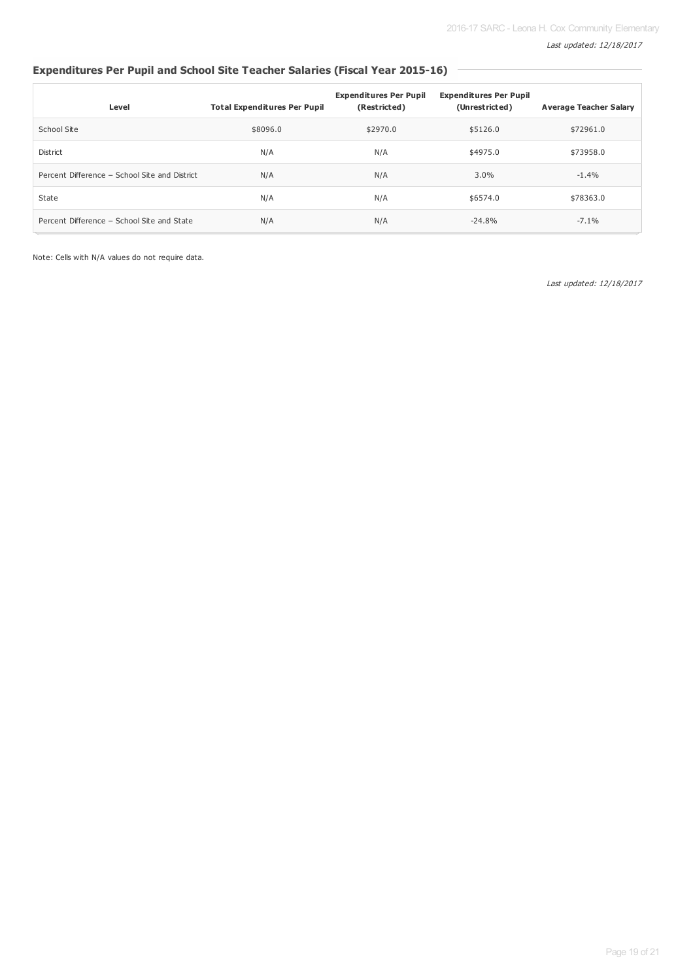## Last updated: 12/18/2017

# **Expenditures Per Pupil and School Site Teacher Salaries (Fiscal Year 2015-16)**

| Level                                         | <b>Total Expenditures Per Pupil</b> | <b>Expenditures Per Pupil</b><br>(Restricted) | <b>Expenditures Per Pupil</b><br>(Unrestricted) | <b>Average Teacher Salary</b> |
|-----------------------------------------------|-------------------------------------|-----------------------------------------------|-------------------------------------------------|-------------------------------|
| School Site                                   | \$8096.0                            | \$2970.0                                      | \$5126.0                                        | \$72961.0                     |
| District                                      | N/A                                 | N/A                                           | \$4975.0                                        | \$73958.0                     |
| Percent Difference - School Site and District | N/A                                 | N/A                                           | $3.0\%$                                         | $-1.4%$                       |
| State                                         | N/A                                 | N/A                                           | \$6574.0                                        | \$78363.0                     |
| Percent Difference - School Site and State    | N/A                                 | N/A                                           | $-24.8%$                                        | $-7.1\%$                      |

Note: Cells with N/A values do not require data.